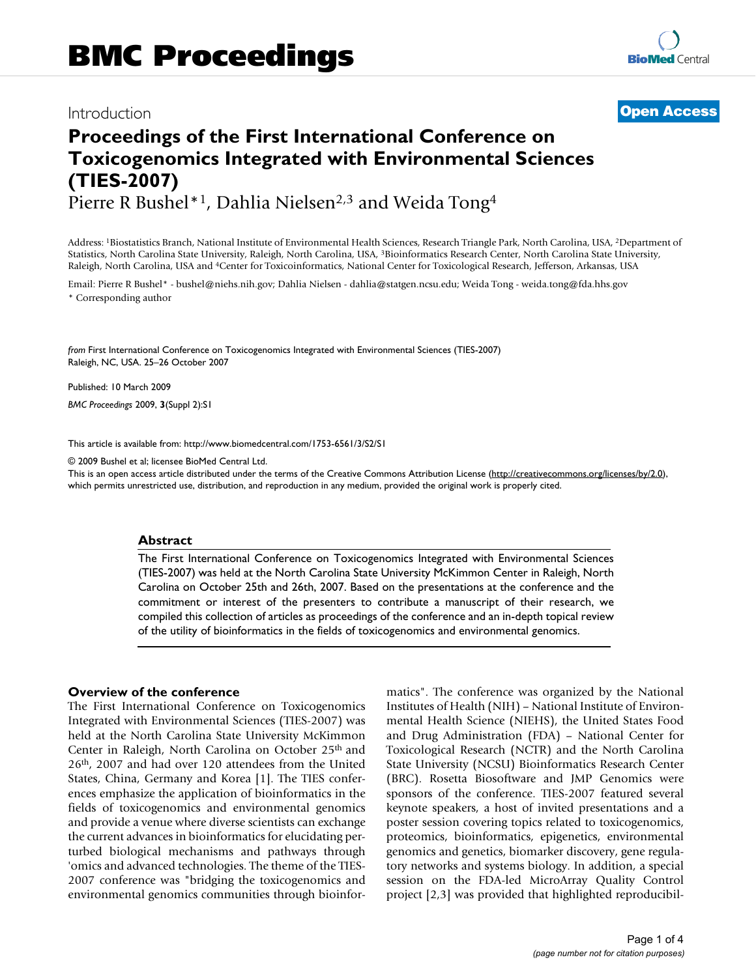# Introduction **[Open Access](http://www.biomedcentral.com/info/about/charter/)**

# **Proceedings of the First International Conference on Toxicogenomics Integrated with Environmental Sciences (TIES-2007)** Pierre R Bushel\*<sup>1</sup>, Dahlia Nielsen<sup>2,3</sup> and Weida Tong<sup>4</sup>

Address: 1Biostatistics Branch, National Institute of Environmental Health Sciences, Research Triangle Park, North Carolina, USA, 2Department of Statistics, North Carolina State University, Raleigh, North Carolina, USA, 3Bioinformatics Research Center, North Carolina State University, Raleigh, North Carolina, USA and 4Center for Toxicoinformatics, National Center for Toxicological Research, Jefferson, Arkansas, USA

Email: Pierre R Bushel\* - bushel@niehs.nih.gov; Dahlia Nielsen - dahlia@statgen.ncsu.edu; Weida Tong - weida.tong@fda.hhs.gov \* Corresponding author

*from* First International Conference on Toxicogenomics Integrated with Environmental Sciences (TIES-2007) Raleigh, NC, USA. 25–26 October 2007

Published: 10 March 2009

*BMC Proceedings* 2009, **3**(Suppl 2):S1

[This article is available from: http://www.biomedcentral.com/1753-6561/3/S2/S1](http://www.biomedcentral.com/1753-6561/3/S2/S1)

© 2009 Bushel et al; licensee BioMed Central Ltd.

This is an open access article distributed under the terms of the Creative Commons Attribution License [\(http://creativecommons.org/licenses/by/2.0\)](http://creativecommons.org/licenses/by/2.0), which permits unrestricted use, distribution, and reproduction in any medium, provided the original work is properly cited.

#### **Abstract**

The First International Conference on Toxicogenomics Integrated with Environmental Sciences (TIES-2007) was held at the North Carolina State University McKimmon Center in Raleigh, North Carolina on October 25th and 26th, 2007. Based on the presentations at the conference and the commitment or interest of the presenters to contribute a manuscript of their research, we compiled this collection of articles as proceedings of the conference and an in-depth topical review of the utility of bioinformatics in the fields of toxicogenomics and environmental genomics.

#### **Overview of the conference**

The First International Conference on Toxicogenomics Integrated with Environmental Sciences (TIES-2007) was held at the North Carolina State University McKimmon Center in Raleigh, North Carolina on October 25th and 26th, 2007 and had over 120 attendees from the United States, China, Germany and Korea [1]. The TIES conferences emphasize the application of bioinformatics in the fields of toxicogenomics and environmental genomics and provide a venue where diverse scientists can exchange the current advances in bioinformatics for elucidating perturbed biological mechanisms and pathways through 'omics and advanced technologies. The theme of the TIES-2007 conference was "bridging the toxicogenomics and environmental genomics communities through bioinformatics". The conference was organized by the National Institutes of Health (NIH) – National Institute of Environmental Health Science (NIEHS), the United States Food and Drug Administration (FDA) – National Center for Toxicological Research (NCTR) and the North Carolina State University (NCSU) Bioinformatics Research Center (BRC). Rosetta Biosoftware and JMP Genomics were sponsors of the conference. TIES-2007 featured several keynote speakers, a host of invited presentations and a poster session covering topics related to toxicogenomics, proteomics, bioinformatics, epigenetics, environmental genomics and genetics, biomarker discovery, gene regulatory networks and systems biology. In addition, a special session on the FDA-led MicroArray Quality Control project [2,3] was provided that highlighted reproducibil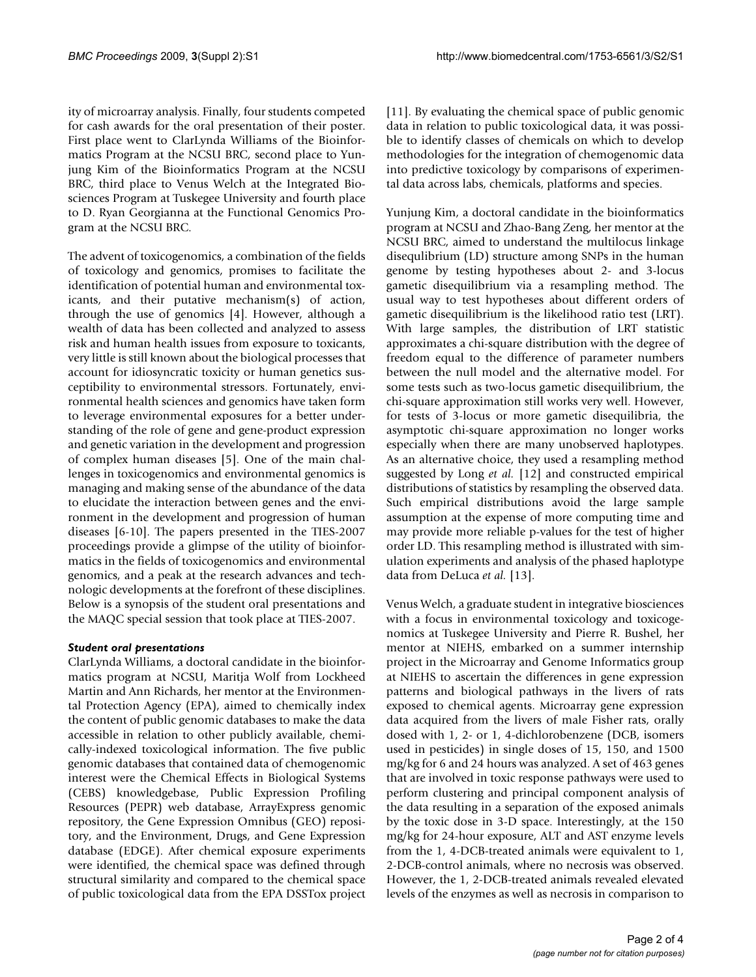ity of microarray analysis. Finally, four students competed for cash awards for the oral presentation of their poster. First place went to ClarLynda Williams of the Bioinformatics Program at the NCSU BRC, second place to Yunjung Kim of the Bioinformatics Program at the NCSU BRC, third place to Venus Welch at the Integrated Biosciences Program at Tuskegee University and fourth place to D. Ryan Georgianna at the Functional Genomics Program at the NCSU BRC.

The advent of toxicogenomics, a combination of the fields of toxicology and genomics, promises to facilitate the identification of potential human and environmental toxicants, and their putative mechanism(s) of action, through the use of genomics [4]. However, although a wealth of data has been collected and analyzed to assess risk and human health issues from exposure to toxicants, very little is still known about the biological processes that account for idiosyncratic toxicity or human genetics susceptibility to environmental stressors. Fortunately, environmental health sciences and genomics have taken form to leverage environmental exposures for a better understanding of the role of gene and gene-product expression and genetic variation in the development and progression of complex human diseases [5]. One of the main challenges in toxicogenomics and environmental genomics is managing and making sense of the abundance of the data to elucidate the interaction between genes and the environment in the development and progression of human diseases [6-10]. The papers presented in the TIES-2007 proceedings provide a glimpse of the utility of bioinformatics in the fields of toxicogenomics and environmental genomics, and a peak at the research advances and technologic developments at the forefront of these disciplines. Below is a synopsis of the student oral presentations and the MAQC special session that took place at TIES-2007.

# *Student oral presentations*

ClarLynda Williams, a doctoral candidate in the bioinformatics program at NCSU, Maritja Wolf from Lockheed Martin and Ann Richards, her mentor at the Environmental Protection Agency (EPA), aimed to chemically index the content of public genomic databases to make the data accessible in relation to other publicly available, chemically-indexed toxicological information. The five public genomic databases that contained data of chemogenomic interest were the Chemical Effects in Biological Systems (CEBS) knowledgebase, Public Expression Profiling Resources (PEPR) web database, ArrayExpress genomic repository, the Gene Expression Omnibus (GEO) repository, and the Environment, Drugs, and Gene Expression database (EDGE). After chemical exposure experiments were identified, the chemical space was defined through structural similarity and compared to the chemical space of public toxicological data from the EPA DSSTox project

[11]. By evaluating the chemical space of public genomic data in relation to public toxicological data, it was possible to identify classes of chemicals on which to develop methodologies for the integration of chemogenomic data into predictive toxicology by comparisons of experimental data across labs, chemicals, platforms and species.

Yunjung Kim, a doctoral candidate in the bioinformatics program at NCSU and Zhao-Bang Zeng, her mentor at the NCSU BRC, aimed to understand the multilocus linkage disequlibrium (LD) structure among SNPs in the human genome by testing hypotheses about 2- and 3-locus gametic disequilibrium via a resampling method. The usual way to test hypotheses about different orders of gametic disequilibrium is the likelihood ratio test (LRT). With large samples, the distribution of LRT statistic approximates a chi-square distribution with the degree of freedom equal to the difference of parameter numbers between the null model and the alternative model. For some tests such as two-locus gametic disequilibrium, the chi-square approximation still works very well. However, for tests of 3-locus or more gametic disequilibria, the asymptotic chi-square approximation no longer works especially when there are many unobserved haplotypes. As an alternative choice, they used a resampling method suggested by Long *et al.* [12] and constructed empirical distributions of statistics by resampling the observed data. Such empirical distributions avoid the large sample assumption at the expense of more computing time and may provide more reliable p-values for the test of higher order LD. This resampling method is illustrated with simulation experiments and analysis of the phased haplotype data from DeLuca *et al.* [13].

Venus Welch, a graduate student in integrative biosciences with a focus in environmental toxicology and toxicogenomics at Tuskegee University and Pierre R. Bushel, her mentor at NIEHS, embarked on a summer internship project in the Microarray and Genome Informatics group at NIEHS to ascertain the differences in gene expression patterns and biological pathways in the livers of rats exposed to chemical agents. Microarray gene expression data acquired from the livers of male Fisher rats, orally dosed with 1, 2- or 1, 4-dichlorobenzene (DCB, isomers used in pesticides) in single doses of 15, 150, and 1500 mg/kg for 6 and 24 hours was analyzed. A set of 463 genes that are involved in toxic response pathways were used to perform clustering and principal component analysis of the data resulting in a separation of the exposed animals by the toxic dose in 3-D space. Interestingly, at the 150 mg/kg for 24-hour exposure, ALT and AST enzyme levels from the 1, 4-DCB-treated animals were equivalent to 1, 2-DCB-control animals, where no necrosis was observed. However, the 1, 2-DCB-treated animals revealed elevated levels of the enzymes as well as necrosis in comparison to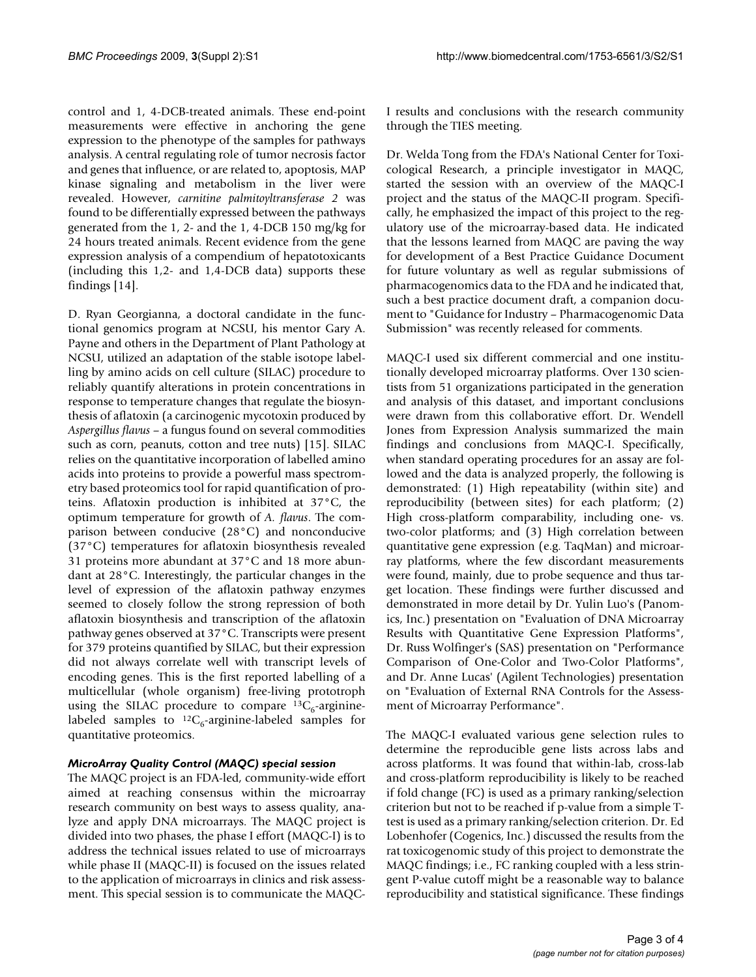control and 1, 4-DCB-treated animals. These end-point measurements were effective in anchoring the gene expression to the phenotype of the samples for pathways analysis. A central regulating role of tumor necrosis factor and genes that influence, or are related to, apoptosis, MAP kinase signaling and metabolism in the liver were revealed. However, *carnitine palmitoyltransferase 2* was found to be differentially expressed between the pathways generated from the 1, 2- and the 1, 4-DCB 150 mg/kg for 24 hours treated animals. Recent evidence from the gene expression analysis of a compendium of hepatotoxicants (including this 1,2- and 1,4-DCB data) supports these findings [14].

D. Ryan Georgianna, a doctoral candidate in the functional genomics program at NCSU, his mentor Gary A. Payne and others in the Department of Plant Pathology at NCSU, utilized an adaptation of the stable isotope labelling by amino acids on cell culture (SILAC) procedure to reliably quantify alterations in protein concentrations in response to temperature changes that regulate the biosynthesis of aflatoxin (a carcinogenic mycotoxin produced by *Aspergillus flavus* – a fungus found on several commodities such as corn, peanuts, cotton and tree nuts) [15]. SILAC relies on the quantitative incorporation of labelled amino acids into proteins to provide a powerful mass spectrometry based proteomics tool for rapid quantification of proteins. Aflatoxin production is inhibited at 37°C, the optimum temperature for growth of *A. flavus*. The comparison between conducive (28°C) and nonconducive (37°C) temperatures for aflatoxin biosynthesis revealed 31 proteins more abundant at 37°C and 18 more abundant at 28°C. Interestingly, the particular changes in the level of expression of the aflatoxin pathway enzymes seemed to closely follow the strong repression of both aflatoxin biosynthesis and transcription of the aflatoxin pathway genes observed at 37°C. Transcripts were present for 379 proteins quantified by SILAC, but their expression did not always correlate well with transcript levels of encoding genes. This is the first reported labelling of a multicellular (whole organism) free-living prototroph using the SILAC procedure to compare  ${}^{13}C_6$ -argininelabeled samples to  ${}^{12}C_6$ -arginine-labeled samples for quantitative proteomics.

# *MicroArray Quality Control (MAQC) special session*

The MAQC project is an FDA-led, community-wide effort aimed at reaching consensus within the microarray research community on best ways to assess quality, analyze and apply DNA microarrays. The MAQC project is divided into two phases, the phase I effort (MAQC-I) is to address the technical issues related to use of microarrays while phase II (MAQC-II) is focused on the issues related to the application of microarrays in clinics and risk assessment. This special session is to communicate the MAQC-

I results and conclusions with the research community through the TIES meeting.

Dr. Welda Tong from the FDA's National Center for Toxicological Research, a principle investigator in MAQC, started the session with an overview of the MAQC-I project and the status of the MAQC-II program. Specifically, he emphasized the impact of this project to the regulatory use of the microarray-based data. He indicated that the lessons learned from MAQC are paving the way for development of a Best Practice Guidance Document for future voluntary as well as regular submissions of pharmacogenomics data to the FDA and he indicated that, such a best practice document draft, a companion document to "Guidance for Industry – Pharmacogenomic Data Submission" was recently released for comments.

MAQC-I used six different commercial and one institutionally developed microarray platforms. Over 130 scientists from 51 organizations participated in the generation and analysis of this dataset, and important conclusions were drawn from this collaborative effort. Dr. Wendell Jones from Expression Analysis summarized the main findings and conclusions from MAQC-I. Specifically, when standard operating procedures for an assay are followed and the data is analyzed properly, the following is demonstrated: (1) High repeatability (within site) and reproducibility (between sites) for each platform; (2) High cross-platform comparability, including one- vs. two-color platforms; and (3) High correlation between quantitative gene expression (e.g. TaqMan) and microarray platforms, where the few discordant measurements were found, mainly, due to probe sequence and thus target location. These findings were further discussed and demonstrated in more detail by Dr. Yulin Luo's (Panomics, Inc.) presentation on "Evaluation of DNA Microarray Results with Quantitative Gene Expression Platforms", Dr. Russ Wolfinger's (SAS) presentation on "Performance Comparison of One-Color and Two-Color Platforms", and Dr. Anne Lucas' (Agilent Technologies) presentation on "Evaluation of External RNA Controls for the Assessment of Microarray Performance".

The MAQC-I evaluated various gene selection rules to determine the reproducible gene lists across labs and across platforms. It was found that within-lab, cross-lab and cross-platform reproducibility is likely to be reached if fold change (FC) is used as a primary ranking/selection criterion but not to be reached if p-value from a simple Ttest is used as a primary ranking/selection criterion. Dr. Ed Lobenhofer (Cogenics, Inc.) discussed the results from the rat toxicogenomic study of this project to demonstrate the MAQC findings; i.e., FC ranking coupled with a less stringent P-value cutoff might be a reasonable way to balance reproducibility and statistical significance. These findings